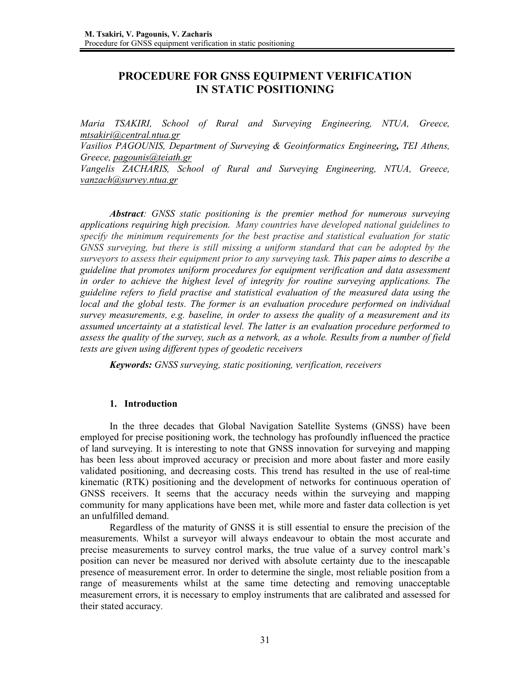# **PROCEDURE FOR GNSS EQUIPMENT VERIFICATION IN STATIC POSITIONING**

*Maria TSAKIRI, School of Rural and Surveying Engineering, NTUA, Greece, mtsakiri@central.ntua.gr*

*Vasilios PAGOUNIS, Department of Surveying & Geoinformatics Engineering, TEI Athens, Greece, pagounis@teiath.gr* 

*Vangelis ZACHARIS, School of Rural and Surveying Engineering, NTUA, Greece, vanzach@survey.ntua.gr* 

*Abstract: GNSS static positioning is the premier method for numerous surveying applications requiring high precision. Many countries have developed national guidelines to specify the minimum requirements for the best practise and statistical evaluation for static GNSS surveying, but there is still missing a uniform standard that can be adopted by the surveyors to assess their equipment prior to any surveying task. This paper aims to describe a guideline that promotes uniform procedures for equipment verification and data assessment in order to achieve the highest level of integrity for routine surveying applications. The guideline refers to field practise and statistical evaluation of the measured data using the local and the global tests. The former is an evaluation procedure performed on individual survey measurements, e.g. baseline, in order to assess the quality of a measurement and its assumed uncertainty at a statistical level. The latter is an evaluation procedure performed to assess the quality of the survey, such as a network, as a whole. Results from a number of field tests are given using different types of geodetic receivers*

*Keywords: GNSS surveying, static positioning, verification, receivers* 

#### **1. Introduction**

In the three decades that Global Navigation Satellite Systems (GNSS) have been employed for precise positioning work, the technology has profoundly influenced the practice of land surveying. It is interesting to note that GNSS innovation for surveying and mapping has been less about improved accuracy or precision and more about faster and more easily validated positioning, and decreasing costs. This trend has resulted in the use of real-time kinematic (RTK) positioning and the development of networks for continuous operation of GNSS receivers. It seems that the accuracy needs within the surveying and mapping community for many applications have been met, while more and faster data collection is yet an unfulfilled demand.

Regardless of the maturity of GNSS it is still essential to ensure the precision of the measurements. Whilst a surveyor will always endeavour to obtain the most accurate and precise measurements to survey control marks, the true value of a survey control mark's position can never be measured nor derived with absolute certainty due to the inescapable presence of measurement error. In order to determine the single, most reliable position from a range of measurements whilst at the same time detecting and removing unacceptable measurement errors, it is necessary to employ instruments that are calibrated and assessed for their stated accuracy.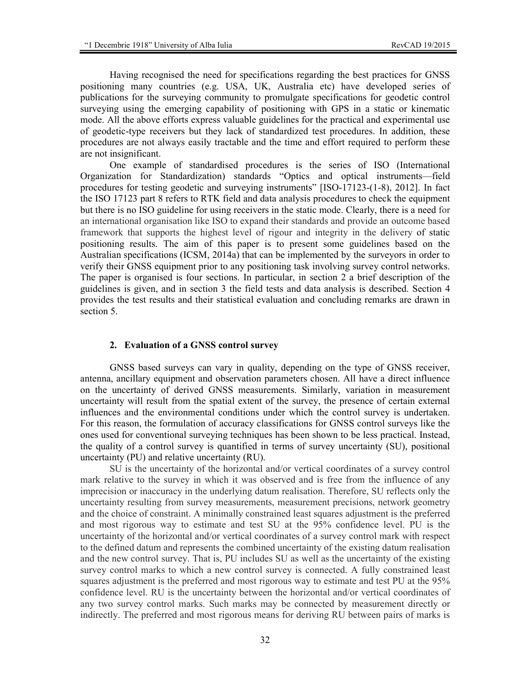Having recognised the need for specifications regarding the best practices for GNSS positioning many countries (e.g. USA, UK, Australia etc) have developed series of publications for the surveying community to promulgate specifications for geodetic control surveying using the emerging capability of positioning with GPS in a static or kinematic mode. All the above efforts express valuable guidelines for the practical and experimental use of geodetic-type receivers but they lack of standardized test procedures. In addition, these procedures are not always easily tractable and the time and effort required to perform these are not insignificant.

One example of standardised procedures is the series of ISO (International Organization for Standardization) standards "Optics and optical instruments—field procedures for testing geodetic and surveying instruments" [ISO-17123-(1-8), 2012]. In fact the ISO 17123 part 8 refers to RTK field and data analysis procedures to check the equipment but there is no ISO guideline for using receivers in the static mode. Clearly, there is a need for an international organisation like ISO to expand their standards and provide an outcome based framework that supports the highest level of rigour and integrity in the delivery of static positioning results. The aim of this paper is to present some guidelines based on the Australian specifications (ICSM, 2014a) that can be implemented by the surveyors in order to verify their GNSS equipment prior to any positioning task involving survey control networks. The paper is organised is four sections. In particular, in section 2 a brief description of the guidelines is given, and in section 3 the field tests and data analysis is described. Section 4 provides the test results and their statistical evaluation and concluding remarks are drawn in section 5.

#### **2. Evaluation of a GNSS control survey**

GNSS based surveys can vary in quality, depending on the type of GNSS receiver, antenna, ancillary equipment and observation parameters chosen. All have a direct influence on the uncertainty of derived GNSS measurements. Similarly, variation in measurement uncertainty will result from the spatial extent of the survey, the presence of certain external influences and the environmental conditions under which the control survey is undertaken. For this reason, the formulation of accuracy classifications for GNSS control surveys like the ones used for conventional surveying techniques has been shown to be less practical. Instead, the quality of a control survey is quantified in terms of survey uncertainty (SU), positional uncertainty (PU) and relative uncertainty (RU).

SU is the uncertainty of the horizontal and/or vertical coordinates of a survey control mark relative to the survey in which it was observed and is free from the influence of any imprecision or inaccuracy in the underlying datum realisation. Therefore, SU reflects only the uncertainty resulting from survey measurements, measurement precisions, network geometry and the choice of constraint. A minimally constrained least squares adjustment is the preferred and most rigorous way to estimate and test SU at the 95% confidence level. PU is the uncertainty of the horizontal and/or vertical coordinates of a survey control mark with respect to the defined datum and represents the combined uncertainty of the existing datum realisation and the new control survey. That is, PU includes SU as well as the uncertainty of the existing survey control marks to which a new control survey is connected. A fully constrained least squares adjustment is the preferred and most rigorous way to estimate and test PU at the 95% confidence level. RU is the uncertainty between the horizontal and/or vertical coordinates of any two survey control marks. Such marks may be connected by measurement directly or indirectly. The preferred and most rigorous means for deriving RU between pairs of marks is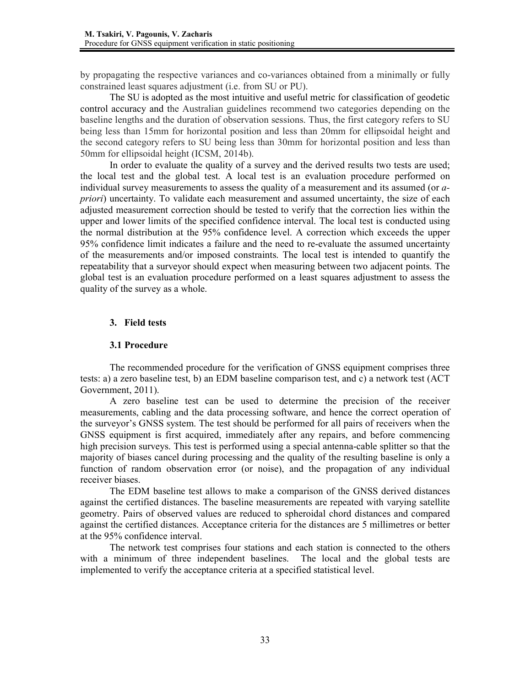by propagating the respective variances and co-variances obtained from a minimally or fully constrained least squares adjustment (i.e. from SU or PU).

The SU is adopted as the most intuitive and useful metric for classification of geodetic control accuracy and the Australian guidelines recommend two categories depending on the baseline lengths and the duration of observation sessions. Thus, the first category refers to SU being less than 15mm for horizontal position and less than 20mm for ellipsoidal height and the second category refers to SU being less than 30mm for horizontal position and less than 50mm for ellipsoidal height (ICSM, 2014b).

In order to evaluate the quality of a survey and the derived results two tests are used; the local test and the global test. A local test is an evaluation procedure performed on individual survey measurements to assess the quality of a measurement and its assumed (or *apriori*) uncertainty. To validate each measurement and assumed uncertainty, the size of each adjusted measurement correction should be tested to verify that the correction lies within the upper and lower limits of the specified confidence interval. The local test is conducted using the normal distribution at the 95% confidence level. A correction which exceeds the upper 95% confidence limit indicates a failure and the need to re-evaluate the assumed uncertainty of the measurements and/or imposed constraints. The local test is intended to quantify the repeatability that a surveyor should expect when measuring between two adjacent points. The global test is an evaluation procedure performed on a least squares adjustment to assess the quality of the survey as a whole.

### **3. Field tests**

### **3.1 Procedure**

The recommended procedure for the verification of GNSS equipment comprises three tests: a) a zero baseline test, b) an EDM baseline comparison test, and c) a network test (ACT Government, 2011).

A zero baseline test can be used to determine the precision of the receiver measurements, cabling and the data processing software, and hence the correct operation of the surveyor's GNSS system. The test should be performed for all pairs of receivers when the GNSS equipment is first acquired, immediately after any repairs, and before commencing high precision surveys. This test is performed using a special antenna-cable splitter so that the majority of biases cancel during processing and the quality of the resulting baseline is only a function of random observation error (or noise), and the propagation of any individual receiver biases.

The EDM baseline test allows to make a comparison of the GNSS derived distances against the certified distances. The baseline measurements are repeated with varying satellite geometry. Pairs of observed values are reduced to spheroidal chord distances and compared against the certified distances. Acceptance criteria for the distances are 5 millimetres or better at the 95% confidence interval.

The network test comprises four stations and each station is connected to the others with a minimum of three independent baselines. The local and the global tests are implemented to verify the acceptance criteria at a specified statistical level.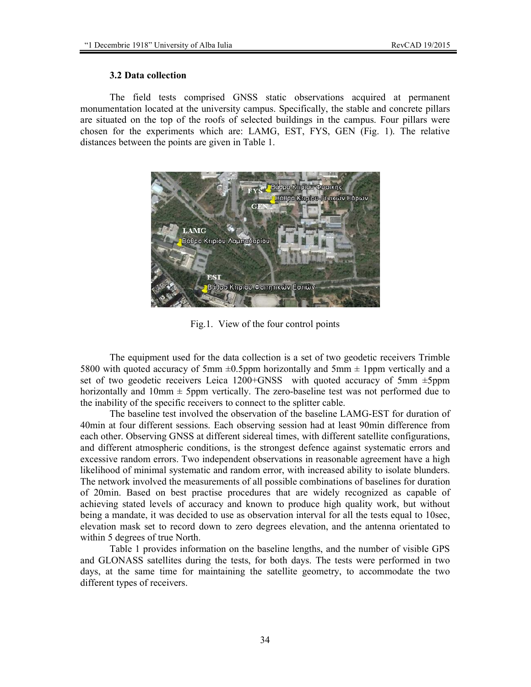#### **3.2 Data collection**

The field tests comprised GNSS static observations acquired at permanent monumentation located at the university campus. Specifically, the stable and concrete pillars are situated on the top of the roofs of selected buildings in the campus. Four pillars were chosen for the experiments which are: LAMG, EST, FYS, GEN (Fig. 1). The relative distances between the points are given in Table 1.



Fig.1. View of the four control points

The equipment used for the data collection is a set of two geodetic receivers Trimble 5800 with quoted accuracy of 5mm  $\pm 0.5$ ppm horizontally and 5mm  $\pm 1$ ppm vertically and a set of two geodetic receivers Leica 1200+GNSS with quoted accuracy of 5mm ±5ppm horizontally and  $10\text{mm} \pm 5\text{ppm}$  vertically. The zero-baseline test was not performed due to the inability of the specific receivers to connect to the splitter cable.

The baseline test involved the observation of the baseline LAMG-EST for duration of 40min at four different sessions. Each observing session had at least 90min difference from each other. Observing GNSS at different sidereal times, with different satellite configurations, and different atmospheric conditions, is the strongest defence against systematic errors and excessive random errors. Two independent observations in reasonable agreement have a high likelihood of minimal systematic and random error, with increased ability to isolate blunders. The network involved the measurements of all possible combinations of baselines for duration of 20min. Based on best practise procedures that are widely recognized as capable of achieving stated levels of accuracy and known to produce high quality work, but without being a mandate, it was decided to use as observation interval for all the tests equal to 10sec, elevation mask set to record down to zero degrees elevation, and the antenna orientated to within 5 degrees of true North.

Table 1 provides information on the baseline lengths, and the number of visible GPS and GLONASS satellites during the tests, for both days. The tests were performed in two days, at the same time for maintaining the satellite geometry, to accommodate the two different types of receivers.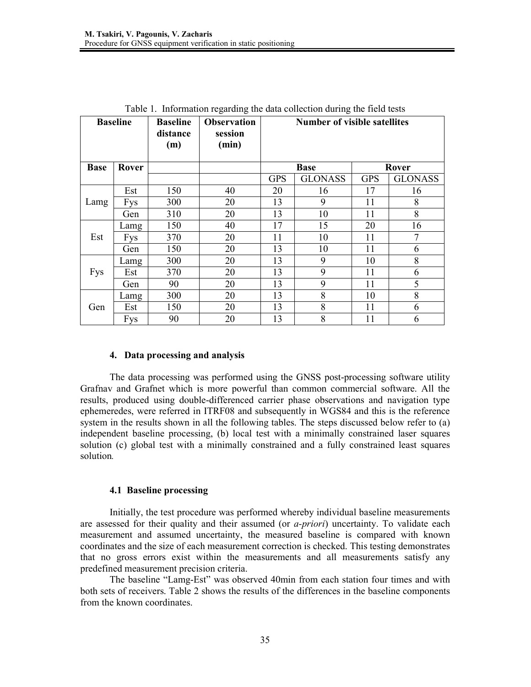| <b>Baseline</b>      |            | <b>Baseline</b><br>distance<br>(m) | <b>Observation</b><br>session<br>(min) | <b>Number of visible satellites</b> |                |            |                |
|----------------------|------------|------------------------------------|----------------------------------------|-------------------------------------|----------------|------------|----------------|
| <b>Base</b><br>Rover |            |                                    |                                        | <b>Base</b>                         |                | Rover      |                |
|                      |            |                                    |                                        | <b>GPS</b>                          | <b>GLONASS</b> | <b>GPS</b> | <b>GLONASS</b> |
|                      | Est        | 150                                | 40                                     | 20                                  | 16             | 17         | 16             |
| Lamg                 | <b>Fys</b> | 300                                | 20                                     | 13                                  | 9              | 11         | 8              |
|                      | Gen        | 310                                | 20                                     | 13                                  | 10             | 11         | 8              |
|                      | Lamg       | 150                                | 40                                     | 17                                  | 15             | 20         | 16             |
| Est                  | <b>Fys</b> | 370                                | 20                                     | 11                                  | 10             | 11         | 7              |
|                      | Gen        | 150                                | 20                                     | 13                                  | 10             | 11         | 6              |
|                      | Lamg       | 300                                | 20                                     | 13                                  | 9              | 10         | 8              |
| <b>Fys</b>           | Est        | 370                                | 20                                     | 13                                  | 9              | 11         | 6              |
|                      | Gen        | 90                                 | 20                                     | 13                                  | 9              | 11         | 5              |
|                      | Lamg       | 300                                | 20                                     | 13                                  | 8              | 10         | 8              |
| Gen                  | Est        | 150                                | 20                                     | 13                                  | 8              | 11         | 6              |
|                      | <b>Fys</b> | 90                                 | 20                                     | 13                                  | 8              | 11         | 6              |

Table 1. Information regarding the data collection during the field tests

### **4. Data processing and analysis**

The data processing was performed using the GNSS post-processing software utility Grafnav and Grafnet which is more powerful than common commercial software. All the results, produced using double-differenced carrier phase observations and navigation type ephemeredes, were referred in ITRF08 and subsequently in WGS84 and this is the reference system in the results shown in all the following tables. The steps discussed below refer to (a) independent baseline processing, (b) local test with a minimally constrained laser squares solution (c) global test with a minimally constrained and a fully constrained least squares solution*.*

#### **4.1 Baseline processing**

Initially, the test procedure was performed whereby individual baseline measurements are assessed for their quality and their assumed (or *a-priori*) uncertainty. To validate each measurement and assumed uncertainty, the measured baseline is compared with known coordinates and the size of each measurement correction is checked. This testing demonstrates that no gross errors exist within the measurements and all measurements satisfy any predefined measurement precision criteria.

The baseline "Lamg-Est" was observed 40min from each station four times and with both sets of receivers. Table 2 shows the results of the differences in the baseline components from the known coordinates.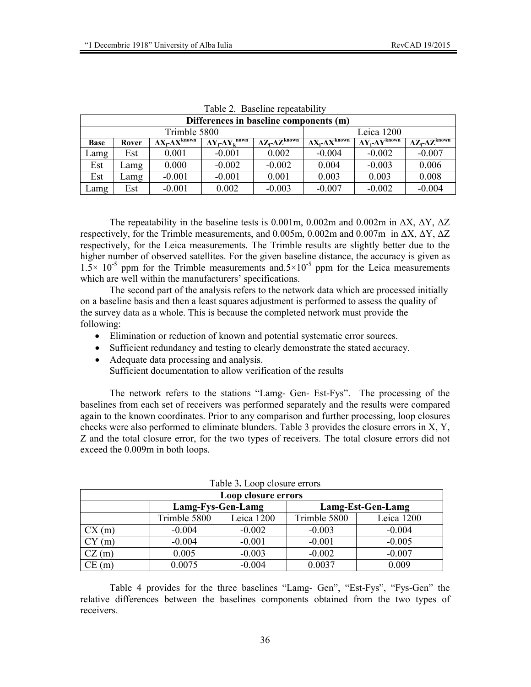|              |       |                                 |                                             | $100002$ . Dascring repeatablifty |                                            |                                            |                                            |
|--------------|-------|---------------------------------|---------------------------------------------|-----------------------------------|--------------------------------------------|--------------------------------------------|--------------------------------------------|
|              |       |                                 | Differences in baseline components (m)      |                                   |                                            |                                            |                                            |
| Trimble 5800 |       |                                 |                                             |                                   | Leica 1200                                 |                                            |                                            |
| <b>Base</b>  | Rover | $\Delta X_i - \Delta X^{known}$ | $\Delta Y_i$ - $\Delta Y_k$ <sup>nown</sup> | $\Delta Z_i - \Delta Z^{known}$   | $\Delta X_i$ - $\Delta X$ <sup>known</sup> | $\Delta Y_i$ - $\Delta Y$ <sup>known</sup> | $\Delta Z_i$ - $\Delta Z$ <sup>known</sup> |
| Lamg         | Est   | 0.001                           | $-0.001$                                    | 0.002                             | $-0.004$                                   | $-0.002$                                   | $-0.007$                                   |
| Est          | Lamg  | 0.000                           | $-0.002$                                    | $-0.002$                          | 0.004                                      | $-0.003$                                   | 0.006                                      |
| Est          | Lamg  | $-0.001$                        | $-0.001$                                    | 0.001                             | 0.003                                      | 0.003                                      | 0.008                                      |
| Lamg         | Est   | $-0.001$                        | 0.002                                       | $-0.003$                          | $-0.007$                                   | $-0.002$                                   | $-0.004$                                   |

Table 2. Baseline repeatability

The repeatability in the baseline tests is 0.001m, 0.002m and 0.002m in  $\Delta X$ ,  $\Delta Y$ ,  $\Delta Z$ respectively, for the Trimble measurements, and 0.005m, 0.002m and 0.007m in ∆X, ∆Υ, ∆Ζ respectively, for the Leica measurements. The Trimble results are slightly better due to the higher number of observed satellites. For the given baseline distance, the accuracy is given as  $1.5 \times 10^{-5}$  ppm for the Trimble measurements and  $.5 \times 10^{-5}$  ppm for the Leica measurements which are well within the manufacturers' specifications.

The second part of the analysis refers to the network data which are processed initially on a baseline basis and then a least squares adjustment is performed to assess the quality of the survey data as a whole. This is because the completed network must provide the following:

- Elimination or reduction of known and potential systematic error sources.
- Sufficient redundancy and testing to clearly demonstrate the stated accuracy.
- Adequate data processing and analysis. Sufficient documentation to allow verification of the results

The network refers to the stations "Lamg- Gen- Est-Fys". The processing of the baselines from each set of receivers was performed separately and the results were compared again to the known coordinates. Prior to any comparison and further processing, loop closures checks were also performed to eliminate blunders. Table 3 provides the closure errors in X, Y, Z and the total closure error, for the two types of receivers. The total closure errors did not exceed the 0.009m in both loops.

|              |                   | Loop closure errors |                   |            |  |
|--------------|-------------------|---------------------|-------------------|------------|--|
|              | Lamg-Fys-Gen-Lamg |                     | Lamg-Est-Gen-Lamg |            |  |
|              | Trimble 5800      | Leica 1200          | Trimble 5800      | Leica 1200 |  |
| CX(m)        | $-0.004$          | $-0.002$            | $-0.003$          | $-0.004$   |  |
| $\mathbf{m}$ | $-0.004$          | $-0.001$            | $-0.001$          | $-0.005$   |  |
| CZ(m)        | 0.005             | $-0.003$            | $-0.002$          | $-0.007$   |  |
| CE(m)        | 0.0075            | $-0.004$            | 0.0037            | 0.009      |  |

Table 4 provides for the three baselines "Lamg- Gen", "Est-Fys", "Fys-Gen" the relative differences between the baselines components obtained from the two types of receivers.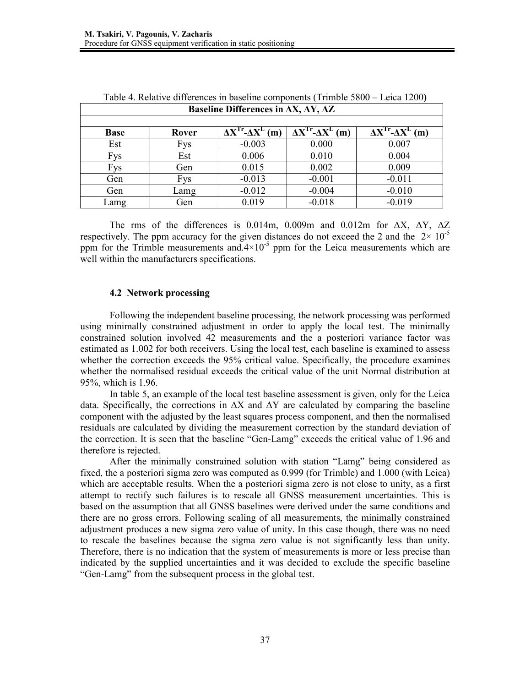|             | Table $\pi$ . Relative uniclearces in baseline components (Trimole 5000 – Ecrea 1200) |                                                              |                                      |                                      |
|-------------|---------------------------------------------------------------------------------------|--------------------------------------------------------------|--------------------------------------|--------------------------------------|
|             |                                                                                       | Baseline Differences in $\Delta X$ , $\Delta Y$ , $\Delta Z$ |                                      |                                      |
|             |                                                                                       |                                                              |                                      |                                      |
| <b>Base</b> | Rover                                                                                 | $\Delta X^{Tr}$ - $\Delta X^{L}$ (m)                         | $\Delta X^{Tr}$ - $\Delta X^{L}$ (m) | $\Delta X^{Tr}$ - $\Delta X^{L}$ (m) |
| Est         | <b>Fys</b>                                                                            | $-0.003$                                                     | 0.000                                | 0.007                                |
| <b>Fys</b>  | Est                                                                                   | 0.006                                                        | 0.010                                | 0.004                                |
| <b>Fys</b>  | Gen                                                                                   | 0.015                                                        | 0.002                                | 0.009                                |
| Gen         | <b>Fys</b>                                                                            | $-0.013$                                                     | $-0.001$                             | $-0.011$                             |
| Gen         | Lamg                                                                                  | $-0.012$                                                     | $-0.004$                             | $-0.010$                             |
| Lamg        | Gen                                                                                   | 0.019                                                        | $-0.018$                             | $-0.019$                             |

| Table 4. Relative differences in baseline components (Trimble 5800 – Leica 1200)                                                                                                                                       |
|------------------------------------------------------------------------------------------------------------------------------------------------------------------------------------------------------------------------|
| $\mathbf{D}_{\alpha\alpha\beta}$ $\mathbf{E}_{\alpha\beta\gamma}$ $\mathbf{D}_{\alpha\beta\gamma}$ $\mathbf{E}_{\alpha\gamma\gamma\gamma}$ and $\mathbf{E}_{\alpha\gamma\gamma}$ and $\mathbf{E}_{\alpha\gamma\gamma}$ |

The rms of the differences is 0.014m, 0.009m and 0.012m for  $\Delta X$ ,  $\Delta Y$ ,  $\Delta Z$ respectively. The ppm accuracy for the given distances do not exceed the 2 and the  $2 \times 10^{-5}$ ppm for the Trimble measurements and  $4\times10^{-5}$  ppm for the Leica measurements which are well within the manufacturers specifications.

#### **4.2 Network processing**

Following the independent baseline processing, the network processing was performed using minimally constrained adjustment in order to apply the local test. The minimally constrained solution involved 42 measurements and the a posteriori variance factor was estimated as 1.002 for both receivers. Using the local test, each baseline is examined to assess whether the correction exceeds the 95% critical value. Specifically, the procedure examines whether the normalised residual exceeds the critical value of the unit Normal distribution at 95%, which is 1.96.

In table 5, an example of the local test baseline assessment is given, only for the Leica data. Specifically, the corrections in  $\Delta X$  and  $\Delta Y$  are calculated by comparing the baseline component with the adjusted by the least squares process component, and then the normalised residuals are calculated by dividing the measurement correction by the standard deviation of the correction. It is seen that the baseline "Gen-Lamg" exceeds the critical value of 1.96 and therefore is rejected.

After the minimally constrained solution with station "Lamg" being considered as fixed, the a posteriori sigma zero was computed as 0.999 (for Trimble) and 1.000 (with Leica) which are acceptable results. When the a posteriori sigma zero is not close to unity, as a first attempt to rectify such failures is to rescale all GNSS measurement uncertainties. This is based on the assumption that all GNSS baselines were derived under the same conditions and there are no gross errors. Following scaling of all measurements, the minimally constrained adjustment produces a new sigma zero value of unity. In this case though, there was no need to rescale the baselines because the sigma zero value is not significantly less than unity. Therefore, there is no indication that the system of measurements is more or less precise than indicated by the supplied uncertainties and it was decided to exclude the specific baseline "Gen-Lamg" from the subsequent process in the global test.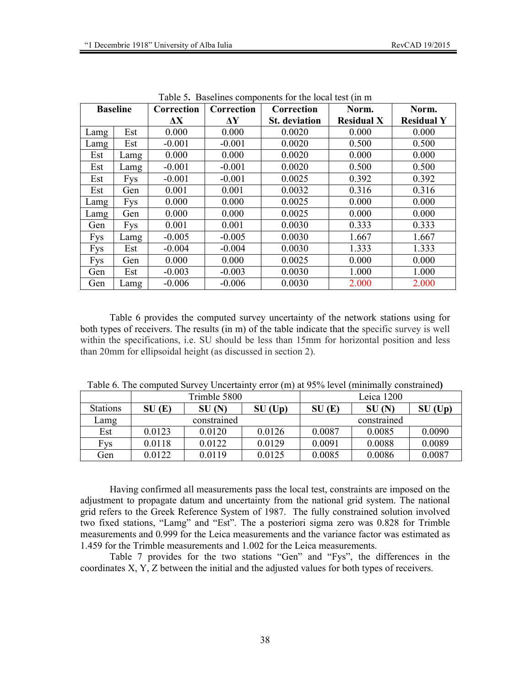|            |                 |            |                     | ruote of Buselines components for the focul test (in m |                   |                   |
|------------|-----------------|------------|---------------------|--------------------------------------------------------|-------------------|-------------------|
|            | <b>Baseline</b> | Correction | Correction          | Correction                                             | Norm.             | Norm.             |
|            |                 | $\Delta$ X | $\mathbf{\Delta Y}$ | <b>St.</b> deviation                                   | <b>Residual X</b> | <b>Residual Y</b> |
| Lamg       | Est             | 0.000      | 0.000               | 0.0020                                                 | 0.000             | 0.000             |
| Lamg       | Est             | $-0.001$   | $-0.001$            | 0.0020                                                 | 0.500             | 0.500             |
| Est        | Lamg            | 0.000      | 0.000               | 0.0020                                                 | 0.000             | 0.000             |
| Est        | Lamg            | $-0.001$   | $-0.001$            | 0.0020                                                 | 0.500             | 0.500             |
| Est        | <b>Fys</b>      | $-0.001$   | $-0.001$            | 0.0025                                                 | 0.392             | 0.392             |
| Est        | Gen             | 0.001      | 0.001               | 0.0032                                                 | 0.316             | 0.316             |
| Lamg       | <b>Fys</b>      | 0.000      | 0.000               | 0.0025                                                 | 0.000             | 0.000             |
| Lamg       | Gen             | 0.000      | 0.000               | 0.0025                                                 | 0.000             | 0.000             |
| Gen        | <b>Fys</b>      | 0.001      | 0.001               | 0.0030                                                 | 0.333             | 0.333             |
| <b>Fys</b> | Lamg            | $-0.005$   | $-0.005$            | 0.0030                                                 | 1.667             | 1.667             |
| Fys        | Est             | $-0.004$   | $-0.004$            | 0.0030                                                 | 1.333             | 1.333             |
| <b>Fys</b> | Gen             | 0.000      | 0.000               | 0.0025                                                 | 0.000             | 0.000             |
| Gen        | Est             | $-0.003$   | $-0.003$            | 0.0030                                                 | 1.000             | 1.000             |
| Gen        | Lamg            | $-0.006$   | $-0.006$            | 0.0030                                                 | 2.000             | 2.000             |

Table 5**.** Baselines components for the local test (in m

Table 6 provides the computed survey uncertainty of the network stations using for both types of receivers. The results (in m) of the table indicate that the specific survey is well within the specifications, i.e. SU should be less than 15mm for horizontal position and less than 20mm for ellipsoidal height (as discussed in section 2).

|                 |        | Trimble 5800 |           |        | Leica 1200  |           |
|-----------------|--------|--------------|-----------|--------|-------------|-----------|
| <b>Stations</b> | SU(E)  | SU(N)        | $SU$ (Up) | SU(E)  | SU(N)       | $SU$ (Up) |
| Lamg            |        | constrained  |           |        | constrained |           |
| Est             | 0.0123 | 0.0120       | 0.0126    | 0.0087 | 0.0085      | 0.0090    |
| Fys             | 0.0118 | 0.0122       | 0.0129    | 0.0091 | 0.0088      | 0.0089    |
| Gen             | 0.0122 | 0.0119       | 0.0125    | 0.0085 | 0.0086      | 0.0087    |

Table 6. The computed Survey Uncertainty error (m) at 95% level (minimally constrained**)** 

Having confirmed all measurements pass the local test, constraints are imposed on the adjustment to propagate datum and uncertainty from the national grid system. The national grid refers to the Greek Reference System of 1987. The fully constrained solution involved two fixed stations, "Lamg" and "Est". The a posteriori sigma zero was 0.828 for Trimble measurements and 0.999 for the Leica measurements and the variance factor was estimated as 1.459 for the Trimble measurements and 1.002 for the Leica measurements.

Table 7 provides for the two stations "Gen" and "Fys", the differences in the coordinates X, Y, Z between the initial and the adjusted values for both types of receivers.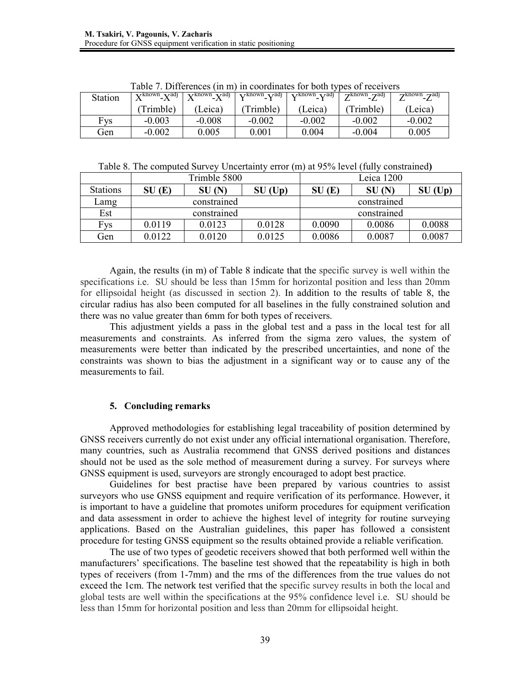| <b>Station</b> |           | $X^{known}$ - $X^{adj}$ $\overline{X^{known}}$ - $X^{adj}$ $\overline{Y^{known}}$ - $Y^{adj}$ $\overline{Y^{known}}$ - $Y^{adj}$ $\overline{Z^{known}}$ - $Z^{adj}$ |           |          | Table 7. Differences (in m) in coordinates for both types of receivers | $Z^{known}$ $Z^{adj}$ |
|----------------|-----------|---------------------------------------------------------------------------------------------------------------------------------------------------------------------|-----------|----------|------------------------------------------------------------------------|-----------------------|
|                | (Trimble) | (Leica)                                                                                                                                                             | (Trimble) | (Leica)  | (Trimble)                                                              | (Leica)               |
| Fvs            | $-0.003$  | $-0.008$                                                                                                                                                            | $-0.002$  | $-0.002$ | $-0.002$                                                               | $-0.002$              |
| Gen            | $-0.002$  | 0.005                                                                                                                                                               | $0.001\,$ | 0.004    | $-0.004$                                                               | 0.005                 |

Table 7. Differences (in m) in coordinates for both types of receivers

Table 8. The computed Survey Uncertainty error (m) at 95% level (fully constrained**)** 

|                 |             | Trimble 5800 |           |        | Leica 1200  |           |
|-----------------|-------------|--------------|-----------|--------|-------------|-----------|
| <b>Stations</b> | SU(E)       | SU(N)        | $SU$ (Up) | SU(E)  | SU(N)       | $SU$ (Up) |
| Lamg            |             | constrained  |           |        | constrained |           |
|                 | constrained |              |           |        |             |           |
| Est             |             |              |           |        | constrained |           |
| Fys             | 0.0119      | 0.0123       | 0.0128    | 0.0090 | 0.0086      | 0.0088    |

Again, the results (in m) of Table 8 indicate that the specific survey is well within the specifications i.e. SU should be less than 15mm for horizontal position and less than 20mm for ellipsoidal height (as discussed in section 2). In addition to the results of table 8, the circular radius has also been computed for all baselines in the fully constrained solution and there was no value greater than 6mm for both types of receivers.

This adjustment yields a pass in the global test and a pass in the local test for all measurements and constraints. As inferred from the sigma zero values, the system of measurements were better than indicated by the prescribed uncertainties, and none of the constraints was shown to bias the adjustment in a significant way or to cause any of the measurements to fail.

# **5. Concluding remarks**

Approved methodologies for establishing legal traceability of position determined by GNSS receivers currently do not exist under any official international organisation. Therefore, many countries, such as Australia recommend that GNSS derived positions and distances should not be used as the sole method of measurement during a survey. For surveys where GNSS equipment is used, surveyors are strongly encouraged to adopt best practice.

Guidelines for best practise have been prepared by various countries to assist surveyors who use GNSS equipment and require verification of its performance. However, it is important to have a guideline that promotes uniform procedures for equipment verification and data assessment in order to achieve the highest level of integrity for routine surveying applications. Based on the Australian guidelines, this paper has followed a consistent procedure for testing GNSS equipment so the results obtained provide a reliable verification.

The use of two types of geodetic receivers showed that both performed well within the manufacturers' specifications. The baseline test showed that the repeatability is high in both types of receivers (from 1-7mm) and the rms of the differences from the true values do not exceed the 1cm. The network test verified that the specific survey results in both the local and global tests are well within the specifications at the 95% confidence level i.e. SU should be less than 15mm for horizontal position and less than 20mm for ellipsoidal height.